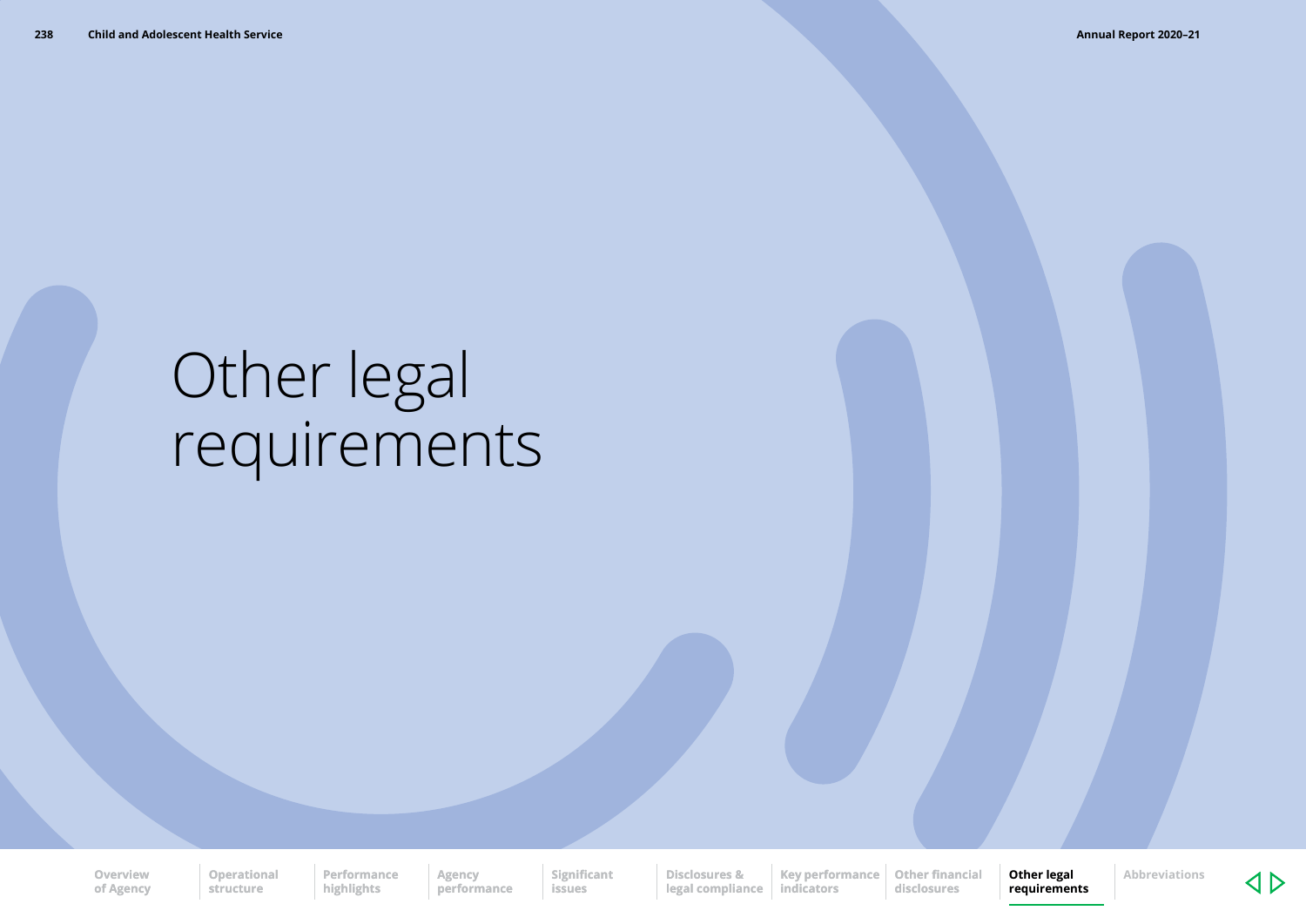# Other legal requirements

**Overview of Agency** **Operational structure**

**Performance highlights Agency** 

**performance Significant issues**

**Disclosures & legal compliance Key performance indicators**

**Other financial disclosures**

**Other legal requirements** **Abbreviations**

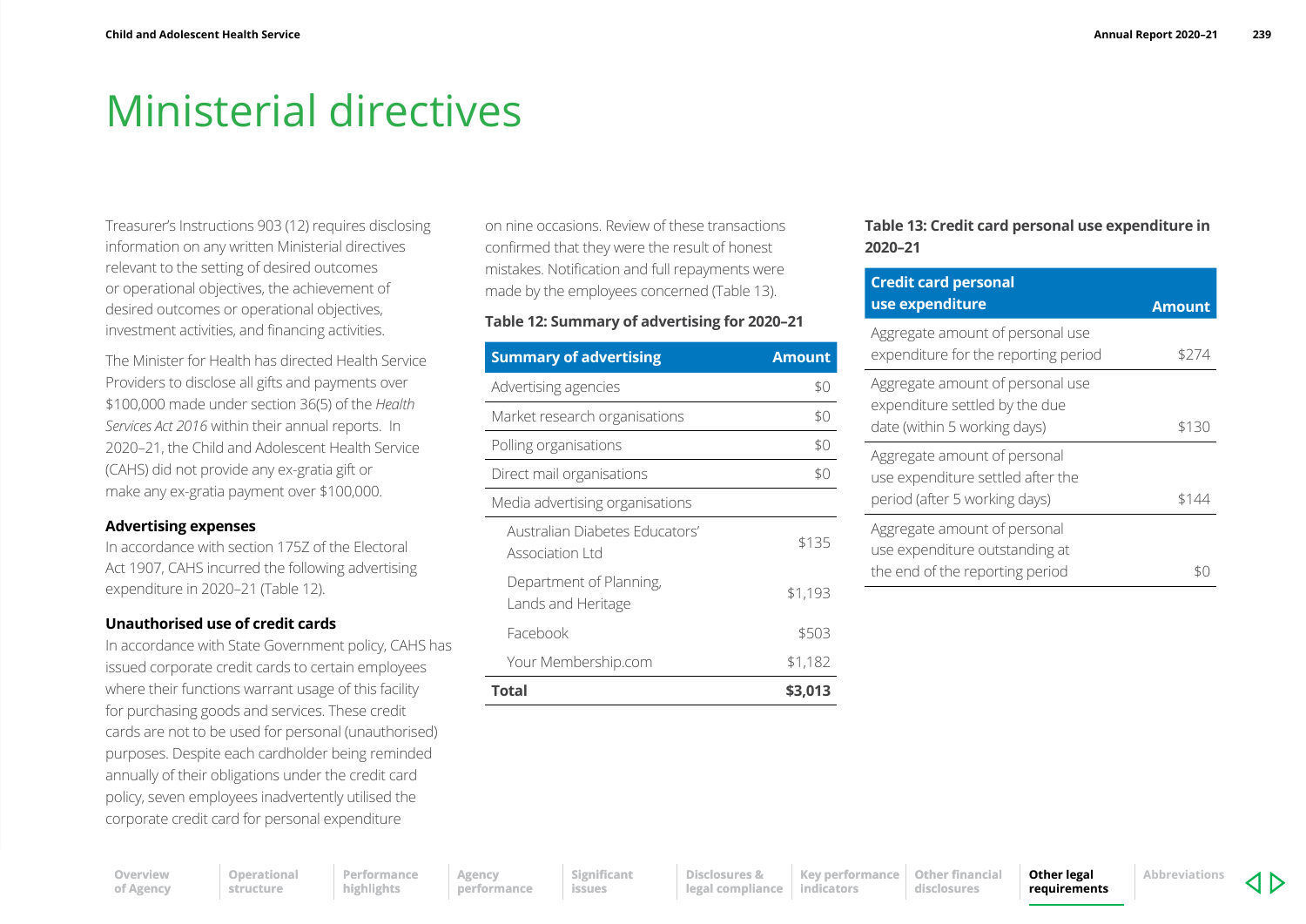### Ministerial directives

Treasurer's Instructions 903 (12) requires disclosing information on any written Ministerial directives relevant to the setting of desired outcomes or operational objectives, the achievement of desired outcomes or operational objectives, investment activities, and financing activities.

The Minister for Health has directed Health Service Providers to disclose all gifts and payments over \$100,000 made under section 36(5) of the *Health Services Act 2016* within their annual reports. In 2020–21, the Child and Adolescent Health Service (CAHS) did not provide any ex-gratia gift or make any ex-gratia payment over \$100,000.

#### **Advertising expenses**

In accordance with section 175Z of the Electoral Act 1907, CAHS incurred the following advertising expenditure in 2020–21 (Table 12).

#### **Unauthorised use of credit cards**

In accordance with State Government policy, CAHS has issued corporate credit cards to certain employees where their functions warrant usage of this facility for purchasing goods and services. These credit cards are not to be used for personal (unauthorised) purposes. Despite each cardholder being reminded annually of their obligations under the credit card policy, seven employees inadvertently utilised the corporate credit card for personal expenditure

on nine occasions. Review of these transactions confirmed that they were the result of honest mistakes. Notification and full repayments were made by the employees concerned (Table 13).

#### **Table 12: Summary of advertising for 2020–21**

| <b>Summary of advertising</b>                     | <b>Amount</b> |
|---------------------------------------------------|---------------|
| Advertising agencies                              | \$0           |
| Market research organisations                     | \$0           |
| Polling organisations                             | \$0           |
| Direct mail organisations                         | \$0           |
| Media advertising organisations                   |               |
| Australian Diabetes Educators'<br>Association Ltd | \$135         |
| Department of Planning,<br>Lands and Heritage     | \$1,193       |
| Facebook                                          | \$503         |
| Your Membership.com                               | \$1,182       |
| Total                                             | \$3,013       |

#### **Table 13: Credit card personal use expenditure in 2020–21**

| <b>Credit card personal</b>                                                                        |               |
|----------------------------------------------------------------------------------------------------|---------------|
| use expenditure                                                                                    | <b>Amount</b> |
| Aggregate amount of personal use<br>expenditure for the reporting period                           | \$274         |
| Aggregate amount of personal use<br>expenditure settled by the due<br>date (within 5 working days) | \$130         |
| Aggregate amount of personal<br>use expenditure settled after the<br>period (after 5 working days) | \$14          |
| Aggregate amount of personal<br>use expenditure outstanding at<br>the end of the reporting period  |               |

**Overview of Agency** **Operational structure Performance highlights**

**Agency performance issues**

**Significant Disclosures &** 

**legal compliance Key performance indicators**

**Other financial disclosures Other legal requirements**

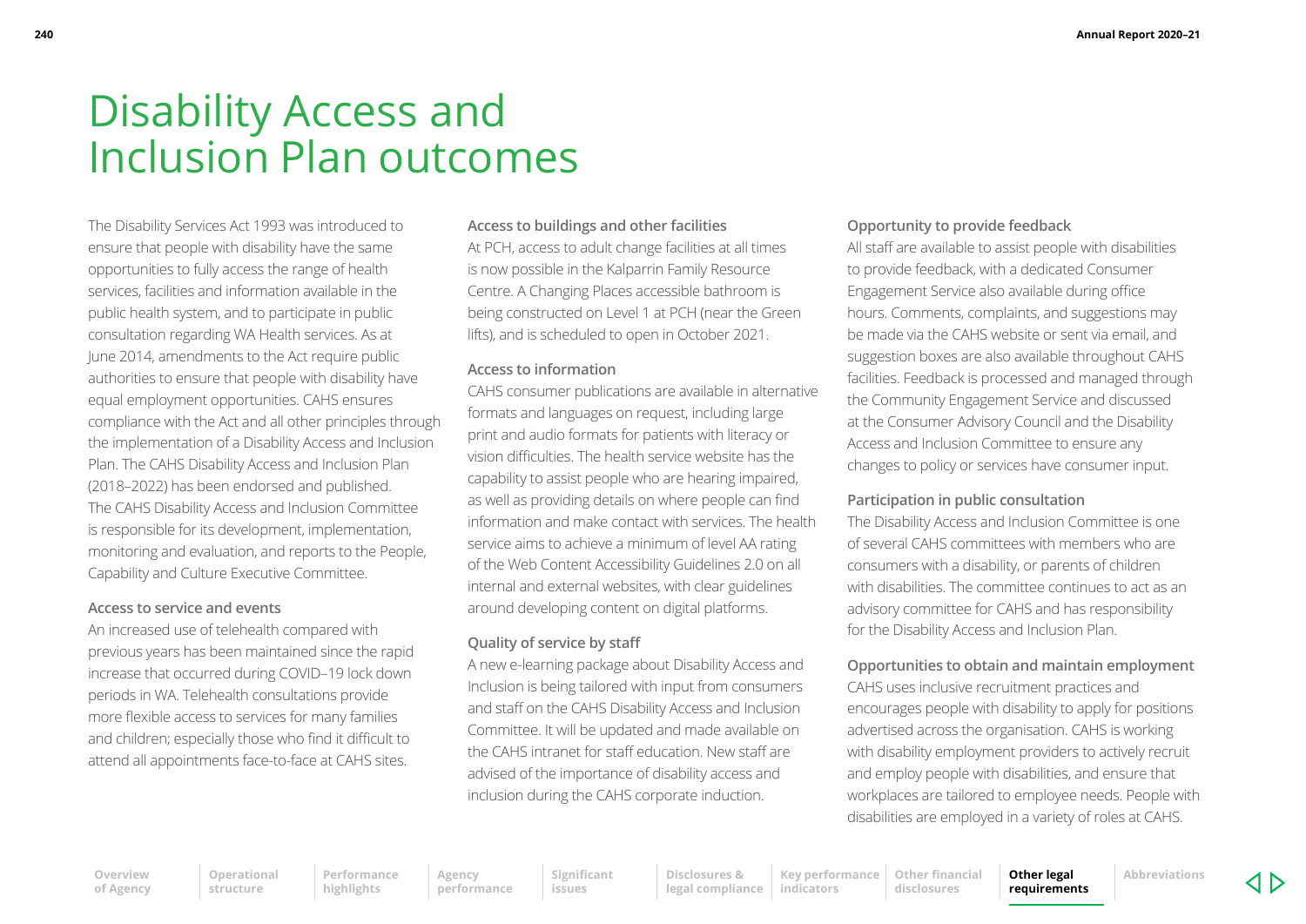The Disability Services Act 1993 was introduced to ensure that people with disability have the same opportunities to fully access the range of health services, facilities and information available in the public health system, and to participate in public consultation regarding WA Health services. As at June 2014, amendments to the Act require public authorities to ensure that people with disability have equal employment opportunities. CAHS ensures compliance with the Act and all other principles through the implementation of a Disability Access and Inclusion Plan. The CAHS Disability Access and Inclusion Plan (2018–2022) has been endorsed and published. The CAHS Disability Access and Inclusion Committee is responsible for its development, implementation, monitoring and evaluation, and reports to the People, Capability and Culture Executive Committee.

#### **Access to service and events**

An increased use of telehealth compared with previous years has been maintained since the rapid increase that occurred during COVID–19 lock down periods in WA. Telehealth consultations provide more flexible access to services for many families and children; especially those who find it difficult to attend all appointments face-to-face at CAHS sites.

#### **Access to buildings and other facilities**

At PCH, access to adult change facilities at all times is now possible in the Kalparrin Family Resource Centre. A Changing Places accessible bathroom is being constructed on Level 1 at PCH (near the Green lifts), and is scheduled to open in October 2021.

#### **Access to information**

CAHS consumer publications are available in alternative formats and languages on request, including large print and audio formats for patients with literacy or vision difficulties. The health service website has the capability to assist people who are hearing impaired, as well as providing details on where people can find information and make contact with services. The health service aims to achieve a minimum of level AA rating of the Web Content Accessibility Guidelines 2.0 on all internal and external websites, with clear guidelines around developing content on digital platforms.

#### **Quality of service by staff**

A new e-learning package about Disability Access and Inclusion is being tailored with input from consumers and staff on the CAHS Disability Access and Inclusion Committee. It will be updated and made available on the CAHS intranet for staff education. New staff are advised of the importance of disability access and inclusion during the CAHS corporate induction.

#### **Opportunity to provide feedback**

All staff are available to assist people with disabilities to provide feedback, with a dedicated Consumer Engagement Service also available during office hours. Comments, complaints, and suggestions may be made via the CAHS website or sent via email, and suggestion boxes are also available throughout CAHS facilities. Feedback is processed and managed through the Community Engagement Service and discussed at the Consumer Advisory Council and the Disability Access and Inclusion Committee to ensure any changes to policy or services have consumer input.

#### **Participation in public consultation**

The Disability Access and Inclusion Committee is one of several CAHS committees with members who are consumers with a disability, or parents of children with disabilities. The committee continues to act as an advisory committee for CAHS and has responsibility for the Disability Access and Inclusion Plan.

#### **Opportunities to obtain and maintain employment**

CAHS uses inclusive recruitment practices and encourages people with disability to apply for positions advertised across the organisation. CAHS is working with disability employment providers to actively recruit and employ people with disabilities, and ensure that workplaces are tailored to employee needs. People with disabilities are employed in a variety of roles at CAHS.

**Overview of Agency** **Operational structure**

**Performance highlights**

**performance Significant issues**

**Agency** 

**Disclosures & legal compliance**

**indicators**

**Key performance Other financial disclosures**

**Other legal requirements**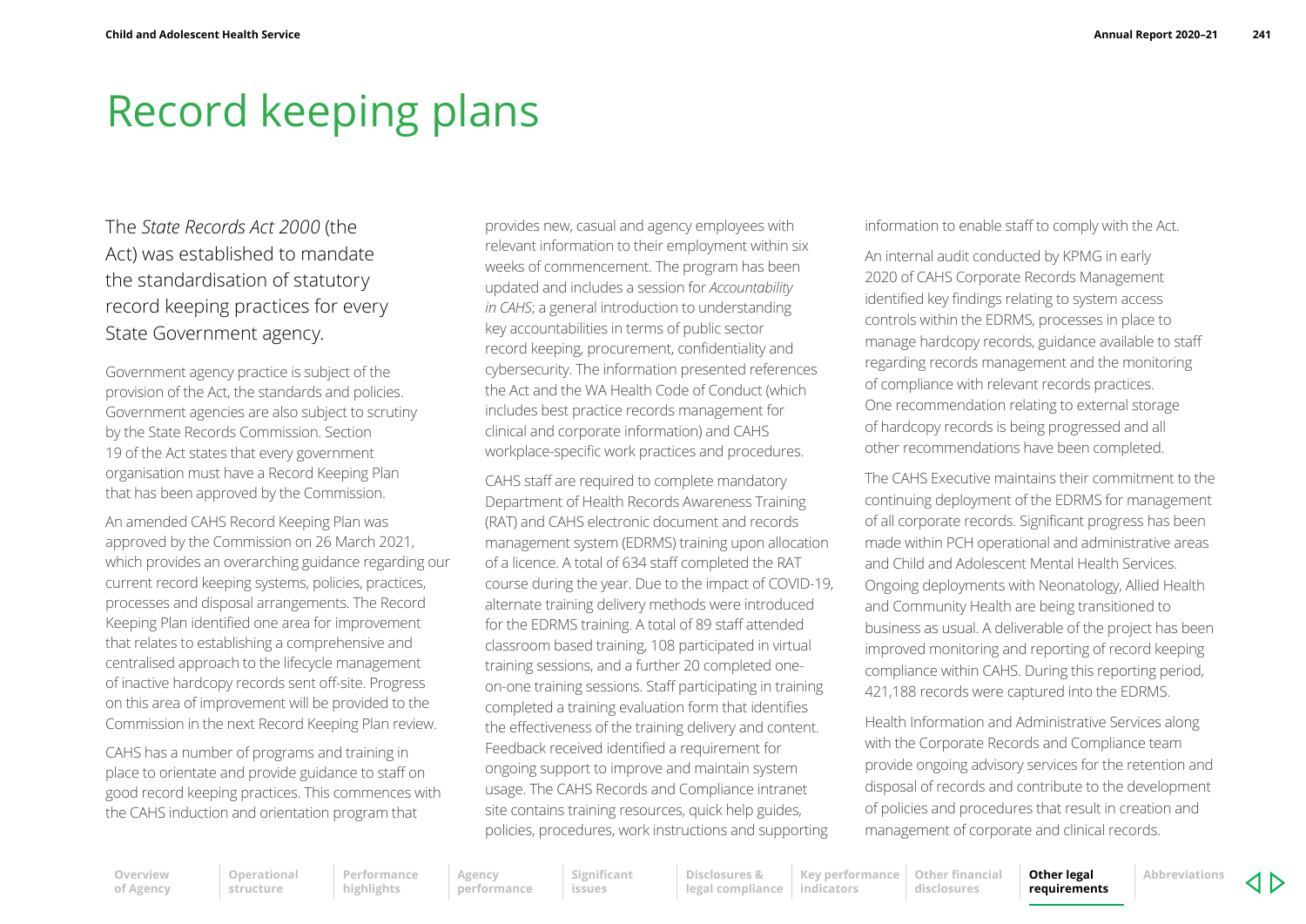## Record keeping plans

The *State Records Act 2000* (the Act) was established to mandate the standardisation of statutory record keeping practices for every State Government agency.

Government agency practice is subject of the provision of the Act, the standards and policies. Government agencies are also subject to scrutiny by the State Records Commission. Section 19 of the Act states that every government organisation must have a Record Keeping Plan that has been approved by the Commission.

An amended CAHS Record Keeping Plan was approved by the Commission on 26 March 2021, which provides an overarching guidance regarding our current record keeping systems, policies, practices, processes and disposal arrangements. The Record Keeping Plan identified one area for improvement that relates to establishing a comprehensive and centralised approach to the lifecycle management of inactive hardcopy records sent off-site. Progress on this area of improvement will be provided to the Commission in the next Record Keeping Plan review.

CAHS has a number of programs and training in place to orientate and provide guidance to staff on good record keeping practices. This commences with the CAHS induction and orientation program that

provides new, casual and agency employees with relevant information to their employment within six weeks of commencement. The program has been updated and includes a session for *Accountability in CAHS*; a general introduction to understanding key accountabilities in terms of public sector record keeping, procurement, confidentiality and cybersecurity. The information presented references the Act and the WA Health Code of Conduct (which includes best practice records management for clinical and corporate information) and CAHS workplace-specific work practices and procedures.

CAHS staff are required to complete mandatory Department of Health Records Awareness Training (RAT) and CAHS electronic document and records management system (EDRMS) training upon allocation of a licence. A total of 634 staff completed the RAT course during the year. Due to the impact of COVID-19, alternate training delivery methods were introduced for the EDRMS training. A total of 89 staff attended classroom based training, 108 participated in virtual training sessions, and a further 20 completed oneon-one training sessions. Staff participating in training completed a training evaluation form that identifies the effectiveness of the training delivery and content. Feedback received identified a requirement for ongoing support to improve and maintain system usage. The CAHS Records and Compliance intranet site contains training resources, quick help guides, policies, procedures, work instructions and supporting

information to enable staff to comply with the Act.

An internal audit conducted by KPMG in early 2020 of CAHS Corporate Records Management identified key findings relating to system access controls within the EDRMS, processes in place to manage hardcopy records, guidance available to staff regarding records management and the monitoring of compliance with relevant records practices. One recommendation relating to external storage of hardcopy records is being progressed and all other recommendations have been completed.

The CAHS Executive maintains their commitment to the continuing deployment of the EDRMS for management of all corporate records. Significant progress has been made within PCH operational and administrative areas and Child and Adolescent Mental Health Services. Ongoing deployments with Neonatology, Allied Health and Community Health are being transitioned to business as usual. A deliverable of the project has been improved monitoring and reporting of record keeping compliance within CAHS. During this reporting period, 421,188 records were captured into the EDRMS.

Health Information and Administrative Services along with the Corporate Records and Compliance team provide ongoing advisory services for the retention and disposal of records and contribute to the development of policies and procedures that result in creation and management of corporate and clinical records.

**Overview of Agency** **Operational structure Performance highlights**

**Agency performance Significant issues**

**Disclosures & legal compliance**

**Key performance Other financial indicators**

**disclosures Other legal requirements** **Abbreviations**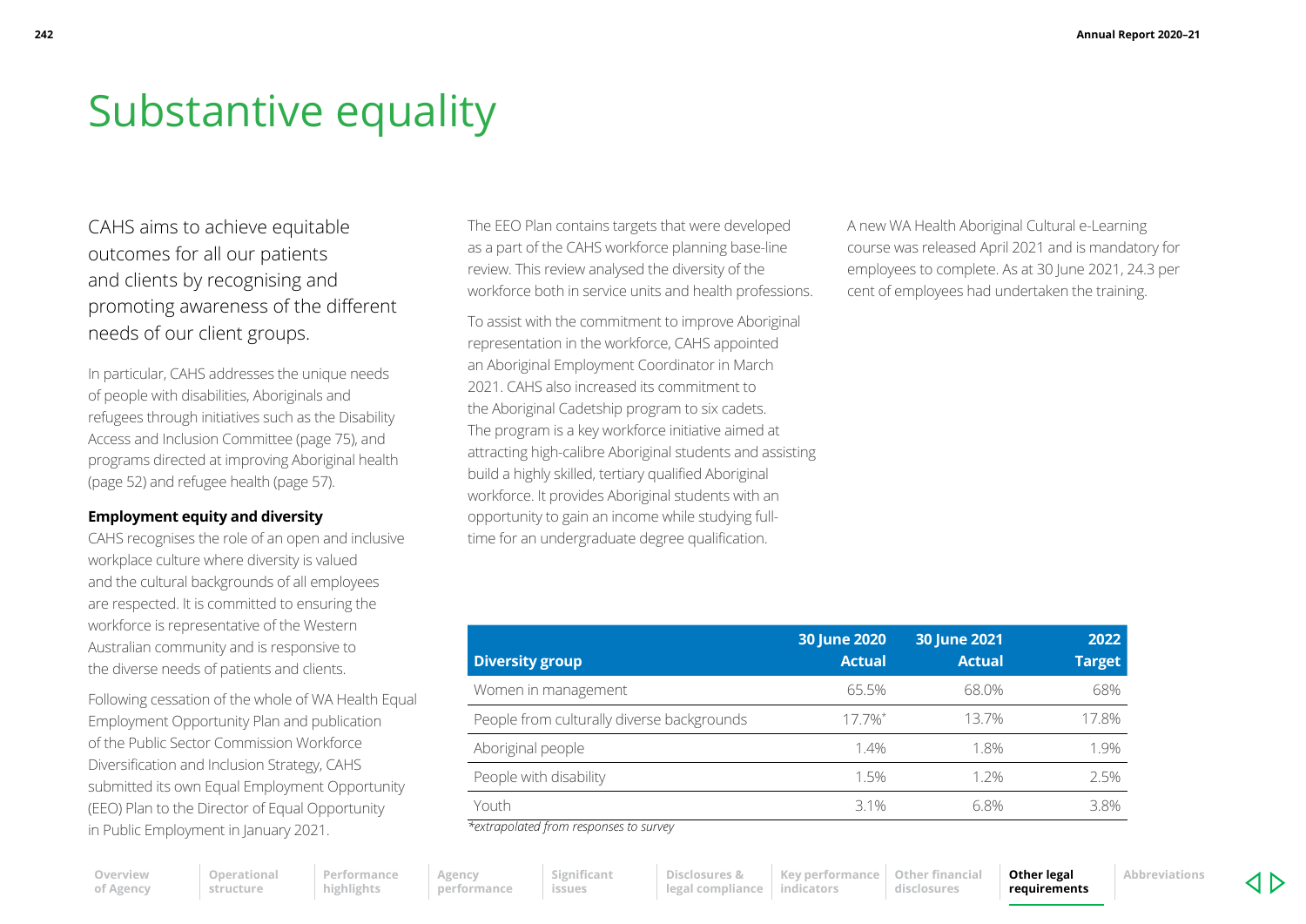### Substantive equality

CAHS aims to achieve equitable outcomes for all our patients and clients by recognising and promoting awareness of the different needs of our client groups.

In particular, CAHS addresses the unique needs of people with disabilities, Aboriginals and refugees through initiatives such as the Disability Access and Inclusion Committee (page 75), and programs directed at improving Aboriginal health (page 52) and refugee health (page 57).

#### **Employment equity and diversity**

CAHS recognises the role of an open and inclusive workplace culture where diversity is valued and the cultural backgrounds of all employees are respected. It is committed to ensuring the workforce is representative of the Western Australian community and is responsive to the diverse needs of patients and clients.

Following cessation of the whole of WA Health Equal Employment Opportunity Plan and publication of the Public Sector Commission Workforce Diversification and Inclusion Strategy, CAHS submitted its own Equal Employment Opportunity (EEO) Plan to the Director of Equal Opportunity in Public Employment in January 2021.

The EEO Plan contains targets that were developed as a part of the CAHS workforce planning base-line review. This review analysed the diversity of the workforce both in service units and health professions.

To assist with the commitment to improve Aboriginal representation in the workforce, CAHS appointed an Aboriginal Employment Coordinator in March 2021. CAHS also increased its commitment to the Aboriginal Cadetship program to six cadets. The program is a key workforce initiative aimed at attracting high-calibre Aboriginal students and assisting build a highly skilled, tertiary qualified Aboriginal workforce. It provides Aboriginal students with an opportunity to gain an income while studying fulltime for an undergraduate degree qualification.

A new WA Health Aboriginal Cultural e-Learning course was released April 2021 and is mandatory for employees to complete. As at 30 June 2021, 24.3 per cent of employees had undertaken the training.

| <b>Diversity group</b>                                  | <b>30 June 2020</b><br><b>Actual</b> | <b>30 June 2021</b><br><b>Actual</b> | 2022<br><b>Target</b> |
|---------------------------------------------------------|--------------------------------------|--------------------------------------|-----------------------|
| Women in management                                     | 65.5%                                | 68.0%                                | 68%                   |
| People from culturally diverse backgrounds              | $177\%$ <sup>*</sup>                 | 137%                                 | 17.8%                 |
| Aboriginal people                                       | 1.4%                                 | 1.8%                                 | 1.9%                  |
| People with disability                                  | 1.5%                                 | 1 2%                                 | 2.5%                  |
| Youth<br>$\mathbf{r}$ and $\mathbf{r}$ and $\mathbf{r}$ | 3.1%                                 | 6.8%                                 | 3.8%                  |

*\*extrapolated from responses to survey*

**Overview of Agency** **Operational structure Performance highlights**

**performance Significant issues**

**Agency** 

**Disclosures &** 

**legal compliance Key performance indicators**

**Other financial disclosures**

**Other legal requirements**

 $\triangleright$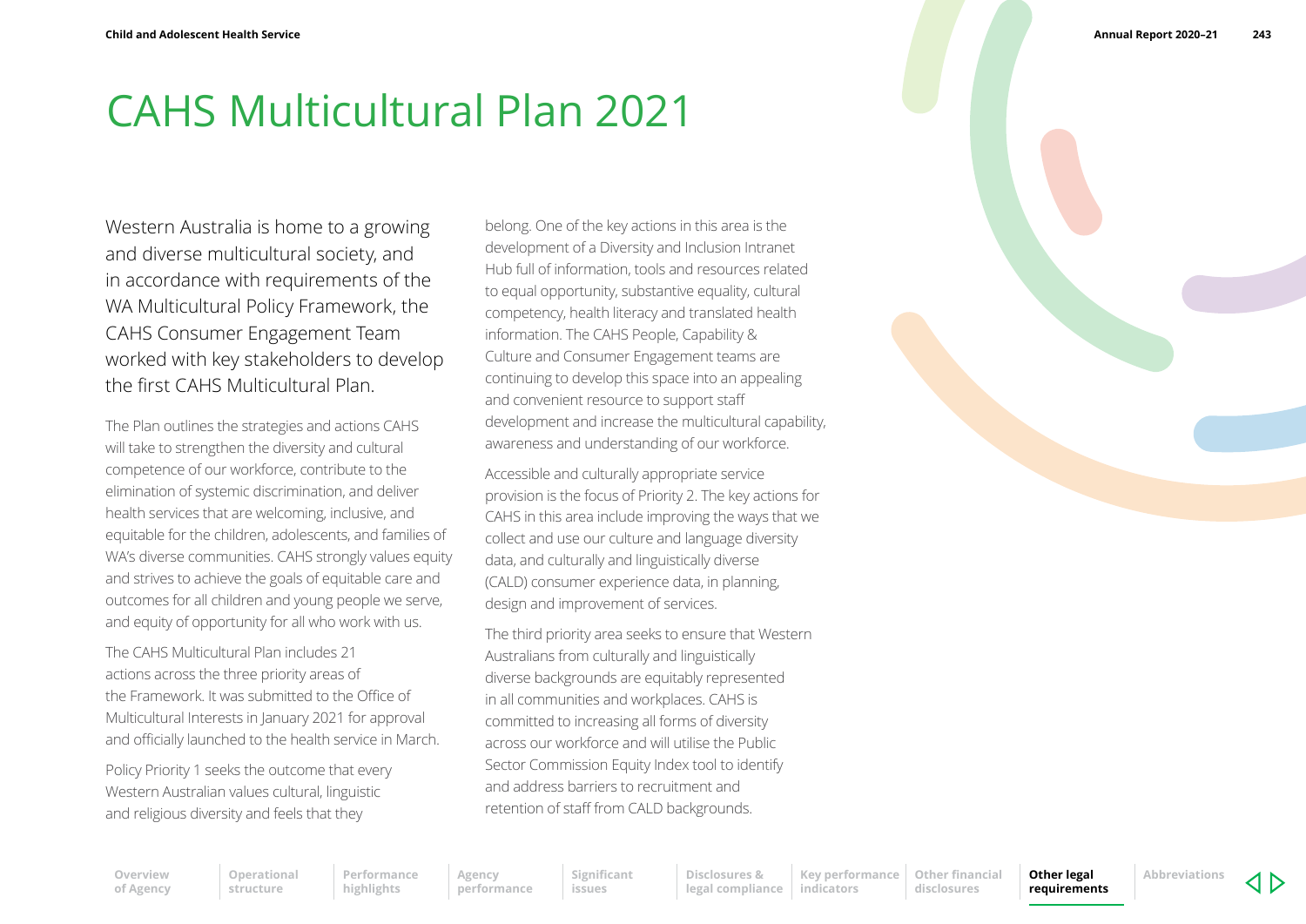### CAHS Multicultural Plan 2021

Western Australia is home to a growing and diverse multicultural society, and in accordance with requirements of the WA Multicultural Policy Framework, the CAHS Consumer Engagement Team worked with key stakeholders to develop the first CAHS Multicultural Plan.

The Plan outlines the strategies and actions CAHS will take to strengthen the diversity and cultural competence of our workforce, contribute to the elimination of systemic discrimination, and deliver health services that are welcoming, inclusive, and equitable for the children, adolescents, and families of WA's diverse communities. CAHS strongly values equity and strives to achieve the goals of equitable care and outcomes for all children and young people we serve, and equity of opportunity for all who work with us.

The CAHS Multicultural Plan includes 21 actions across the three priority areas of the Framework. It was submitted to the Office of Multicultural Interests in January 2021 for approval and officially launched to the health service in March.

Policy Priority 1 seeks the outcome that every Western Australian values cultural, linguistic and religious diversity and feels that they

belong. One of the key actions in this area is the development of a Diversity and Inclusion Intranet Hub full of information, tools and resources related to equal opportunity, substantive equality, cultural competency, health literacy and translated health information. The CAHS People, Capability & Culture and Consumer Engagement teams are continuing to develop this space into an appealing and convenient resource to support staff development and increase the multicultural capability, awareness and understanding of our workforce.

Accessible and culturally appropriate service provision is the focus of Priority 2. The key actions for CAHS in this area include improving the ways that we collect and use our culture and language diversity data, and culturally and linguistically diverse (CALD) consumer experience data, in planning, design and improvement of services.

The third priority area seeks to ensure that Western Australians from culturally and linguistically diverse backgrounds are equitably represented in all communities and workplaces. CAHS is committed to increasing all forms of diversity across our workforce and will utilise the Public Sector Commission Equity Index tool to identify and address barriers to recruitment and retention of staff from CALD backgrounds.

**Operational structure Performance highlights**

**Agency performance Significant issues**

**Disclosures & legal compliance**

**indicators**

**Key performance disclosures**

**Other financial Other legal requirements** **Abbreviations**

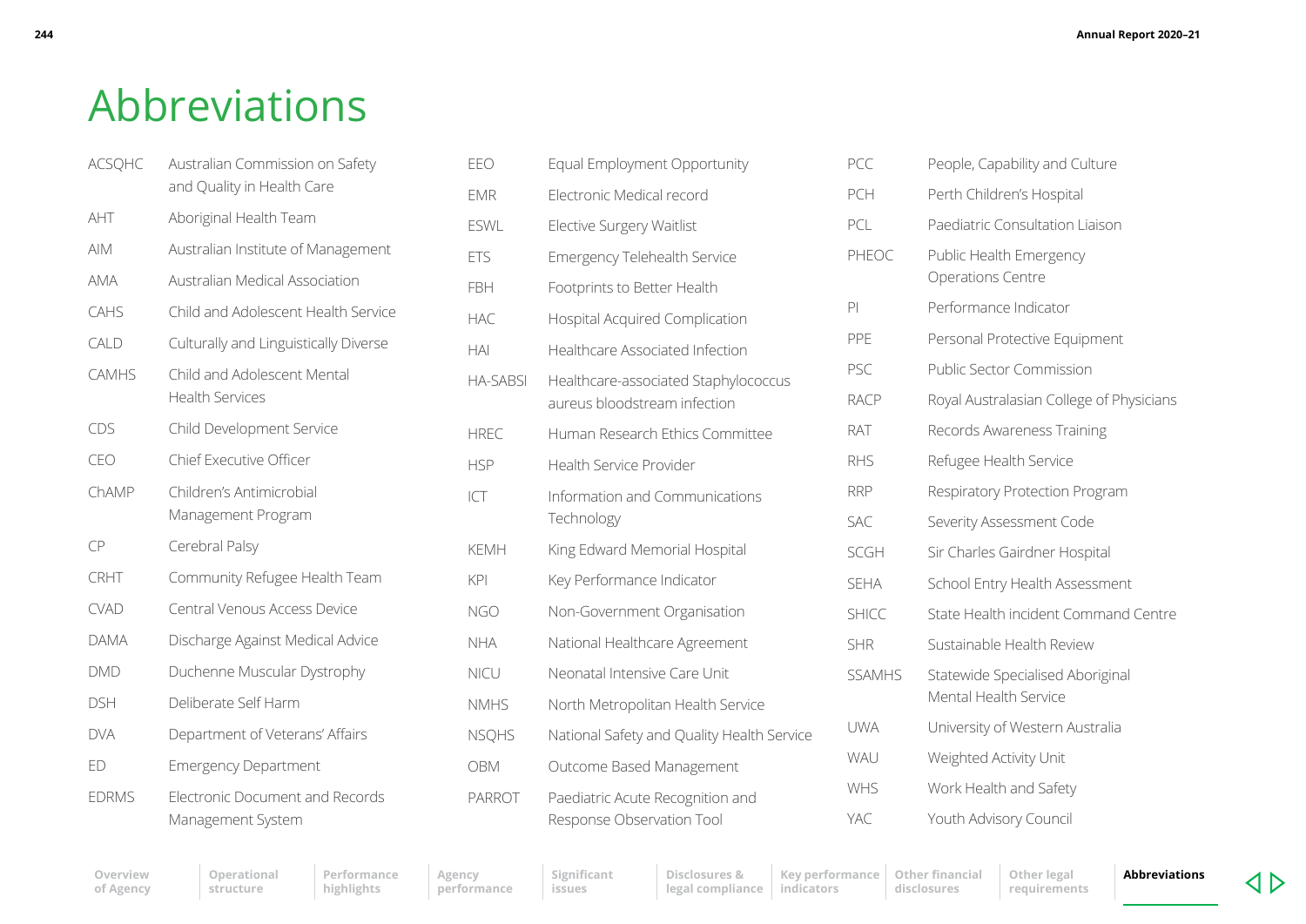### Abbreviations

| <b>ACSQHC</b> | Australian Commission on Safety<br>and Quality in Health Care |
|---------------|---------------------------------------------------------------|
| <b>AHT</b>    | Aboriginal Health Team                                        |
| <b>AIM</b>    | Australian Institute of Management                            |
| <b>AMA</b>    | Australian Medical Association                                |
| CAHS          | Child and Adolescent Health Service                           |
| CALD          | Culturally and Linguistically Diverse                         |
| CAMHS         | Child and Adolescent Mental<br><b>Health Services</b>         |
| CDS           | Child Development Service                                     |
| CEO           | Chief Executive Officer                                       |
| ChAMP         | Children's Antimicrobial<br>Management Program                |
| CP            | Cerebral Palsy                                                |
| <b>CRHT</b>   | Community Refugee Health Team                                 |
| <b>CVAD</b>   | Central Venous Access Device                                  |
| <b>DAMA</b>   | Discharge Against Medical Advice                              |
| <b>DMD</b>    | Duchenne Muscular Dystrophy                                   |
| <b>DSH</b>    | Deliberate Self Harm                                          |
| <b>DVA</b>    | Department of Veterans' Affairs                               |
| <b>ED</b>     | <b>Emergency Department</b>                                   |
| <b>EDRMS</b>  | Electronic Document and Records<br>Management System          |

| EEO             | <b>Equal Employment Opportunity</b>                                  |
|-----------------|----------------------------------------------------------------------|
| <b>EMR</b>      | Electronic Medical record                                            |
| <b>ESWL</b>     | <b>Elective Surgery Waitlist</b>                                     |
| <b>ETS</b>      | <b>Emergency Telehealth Service</b>                                  |
| <b>FBH</b>      | Footprints to Better Health                                          |
| HAC             | Hospital Acquired Complication                                       |
| <b>HAI</b>      | <b>Healthcare Associated Infection</b>                               |
| <b>HA-SABSI</b> | Healthcare-associated Staphylococcus<br>aureus bloodstream infection |
| <b>HREC</b>     | Human Research Ethics Committee                                      |
| <b>HSP</b>      | Health Service Provider                                              |
| $\overline{CT}$ | Information and Communications<br>Technology                         |
| <b>KEMH</b>     | King Edward Memorial Hospital                                        |
| <b>KPI</b>      | Key Performance Indicator                                            |
| <b>NGO</b>      | Non-Government Organisation                                          |
| <b>NHA</b>      | National Healthcare Agreement                                        |
| NICU            | Neonatal Intensive Care Unit                                         |
| <b>NMHS</b>     | North Metropolitan Health Service                                    |
| <b>NSQHS</b>    | National Safety and Quality Health Service                           |
| <b>OBM</b>      | Outcome Based Management                                             |
| <b>PARROT</b>   | Paediatric Acute Recognition and<br>Response Observation Tool        |

| <b>PCC</b>    | People, Capability and Culture                            |
|---------------|-----------------------------------------------------------|
| <b>PCH</b>    | Perth Children's Hospital                                 |
| PCL           | Paediatric Consultation Liaison                           |
| PHEOC         | Public Health Emergency<br><b>Operations Centre</b>       |
| PI            | Performance Indicator                                     |
| PPE           | Personal Protective Equipment                             |
| PSC           | <b>Public Sector Commission</b>                           |
| <b>RACP</b>   | Royal Australasian College of Physicians                  |
| RAT           | Records Awareness Training                                |
| <b>RHS</b>    | Refugee Health Service                                    |
| <b>RRP</b>    | Respiratory Protection Program                            |
| <b>SAC</b>    | Severity Assessment Code                                  |
| <b>SCGH</b>   | Sir Charles Gairdner Hospital                             |
| <b>SEHA</b>   | School Entry Health Assessment                            |
| <b>SHICC</b>  | State Health incident Command Centre                      |
| <b>SHR</b>    | Sustainable Health Review                                 |
| <b>SSAMHS</b> | Statewide Specialised Aboriginal<br>Mental Health Service |
| UWA           | University of Western Australia                           |
| WAU           | Weighted Activity Unit                                    |
| <b>WHS</b>    | Work Health and Safety                                    |
| YAC           | Youth Advisory Council                                    |

**Overview of Agency** **performance Significant issues**

**Agency** 

**Disclosures &** 

**legal compliance indicators**

**Key performance Other financial disclosures**

**Other legal requirements** **Abbreviations**

 $\triangleleft$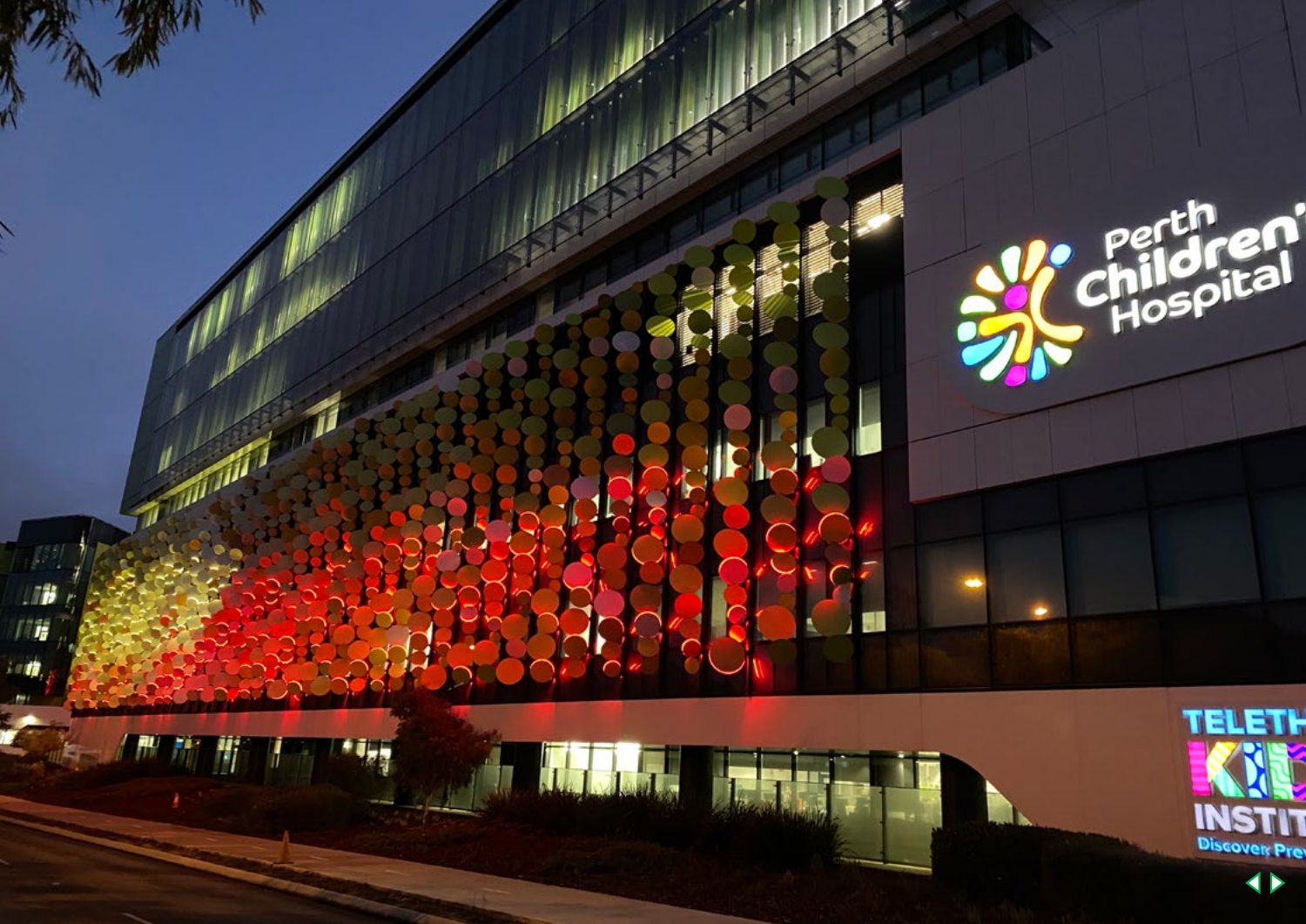